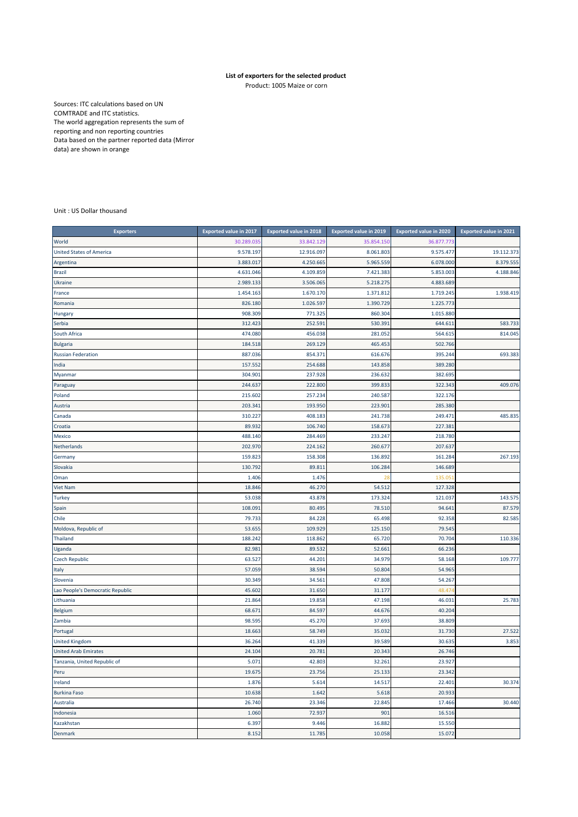## **List of exporters for the selected product**

Product: 1005 Maize or corn

Sources: ITC calculations based on UN COMTRADE and ITC statistics. The world aggregation represents the sum of reporting and non reporting countries Data based on the partner reported data (Mirror data) are shown in orange

Unit : US Dollar thousand

| <b>Exporters</b>                 | <b>Exported value in 2017</b> | <b>Exported value in 2018</b> | <b>Exported value in 2019</b> | <b>Exported value in 2020</b> | <b>Exported value in 2021</b> |
|----------------------------------|-------------------------------|-------------------------------|-------------------------------|-------------------------------|-------------------------------|
| World                            | 30.289.03                     | 33.842.129                    | 35.854.150                    | 36.877.773                    |                               |
| <b>United States of America</b>  | 9.578.197                     | 12.916.097                    | 8.061.803                     | 9.575.477                     | 19.112.373                    |
| Argentina                        | 3.883.017                     | 4.250.665                     | 5.965.559                     | 6.078.000                     | 8.379.555                     |
| <b>Brazil</b>                    | 4.631.046                     | 4.109.859                     | 7.421.383                     | 5.853.003                     | 4.188.846                     |
| <b>Ukraine</b>                   | 2.989.133                     | 3.506.065                     | 5.218.275                     | 4.883.689                     |                               |
| France                           | 1.454.163                     | 1.670.170                     | 1.371.812                     | 1.719.245                     | 1.938.419                     |
| Romania                          | 826.180                       | 1.026.597                     | 1.390.729                     | 1.225.773                     |                               |
| Hungary                          | 908.309                       | 771.325                       | 860.304                       | 1.015.880                     |                               |
| Serbia                           | 312.423                       | 252.591                       | 530.391                       | 644.611                       | 583.733                       |
| South Africa                     | 474.080                       | 456.038                       | 281.052                       | 564.615                       | 814.045                       |
| <b>Bulgaria</b>                  | 184.518                       | 269.129                       | 465.453                       | 502.766                       |                               |
| <b>Russian Federation</b>        | 887.036                       | 854.371                       | 616.676                       | 395.244                       | 693.383                       |
| India                            | 157.552                       | 254.688                       | 143.858                       | 389.280                       |                               |
| Myanmar                          | 304.901                       | 237.928                       | 236.632                       | 382.695                       |                               |
| Paraguay                         | 244.637                       | 222.800                       | 399.833                       | 322.343                       | 409.076                       |
| Poland                           | 215.602                       | 257.234                       | 240.587                       | 322.176                       |                               |
| Austria                          | 203.341                       | 193.950                       | 223.901                       | 285.380                       |                               |
| Canada                           | 310.227                       | 408.183                       | 241.738                       | 249.471                       | 485.835                       |
| Croatia                          | 89.932                        | 106.740                       | 158.673                       | 227.381                       |                               |
| Mexico                           | 488.140                       | 284.469                       | 233.247                       | 218.780                       |                               |
| Netherlands                      | 202.970                       | 224.162                       | 260.677                       | 207.637                       |                               |
| Germany                          | 159.823                       | 158.308                       | 136.892                       | 161.284                       | 267.193                       |
| Slovakia                         | 130.792                       | 89.811                        | 106.284                       | 146.689                       |                               |
| Oman                             | 1.406                         | 1.476                         | 28                            | 135.051                       |                               |
| <b>Viet Nam</b>                  | 18.846                        | 46.270                        | 54.512                        | 127.328                       |                               |
| <b>Turkey</b>                    | 53.038                        | 43.878                        | 173.324                       | 121.037                       | 143.575                       |
| Spain                            | 108.091                       | 80.495                        | 78.510                        | 94.641                        | 87.579                        |
| Chile                            | 79.733                        | 84.228                        | 65.498                        | 92.358                        | 82.585                        |
| Moldova, Republic of             | 53.655                        | 109.929                       | 125.150                       | 79.545                        |                               |
| Thailand                         | 188.242                       | 118.862                       | 65.720                        | 70.704                        | 110.336                       |
| Uganda                           | 82.981                        | 89.532                        | 52.661                        | 66.236                        |                               |
| <b>Czech Republic</b>            | 63.527                        | 44.201                        | 34.979                        | 58.168                        | 109.777                       |
| Italy                            | 57.059                        | 38.594                        | 50.804                        | 54.965                        |                               |
| Slovenia                         | 30.349                        | 34.561                        | 47.808                        | 54.267                        |                               |
| Lao People's Democratic Republic | 45.602                        | 31.650                        | 31.177                        | 48.47                         |                               |
| Lithuania                        | 21.864                        | 19.858                        | 47.198                        | 46.031                        | 25.783                        |
| <b>Belgium</b>                   | 68.671                        | 84.597                        | 44.676                        | 40.204                        |                               |
| Zambia                           | 98.595                        | 45.270                        | 37.693                        | 38.809                        |                               |
| Portugal                         | 18.663                        | 58.749                        | 35.032                        | 31.730                        | 27.522                        |
| <b>United Kingdom</b>            | 36.264                        | 41.339                        | 39.589                        | 30.635                        | 3.853                         |
| <b>United Arab Emirates</b>      | 24.104                        | 20.781                        | 20.343                        | 26.746                        |                               |
| Tanzania, United Republic of     | 5.071                         | 42.803                        | 32.261                        | 23.927                        |                               |
| Peru                             | 19.675                        | 23.756                        | 25.133                        | 23.342                        |                               |
| Ireland                          | 1.876                         | 5.614                         | 14.517                        | 22.401                        | 30.374                        |
| <b>Burkina Faso</b>              | 10.638                        | 1.642                         | 5.618                         | 20.933                        |                               |
| Australia                        | 26.740                        | 23.346                        | 22.845                        | 17.466                        | 30.440                        |
| Indonesia                        | 1.060                         | 72.937                        | 901                           | 16.516                        |                               |
| Kazakhstan                       | 6.397                         | 9.446                         | 16.882                        | 15.550                        |                               |
| Denmark                          | 8.152                         | 11.785                        | 10.058                        | 15.072                        |                               |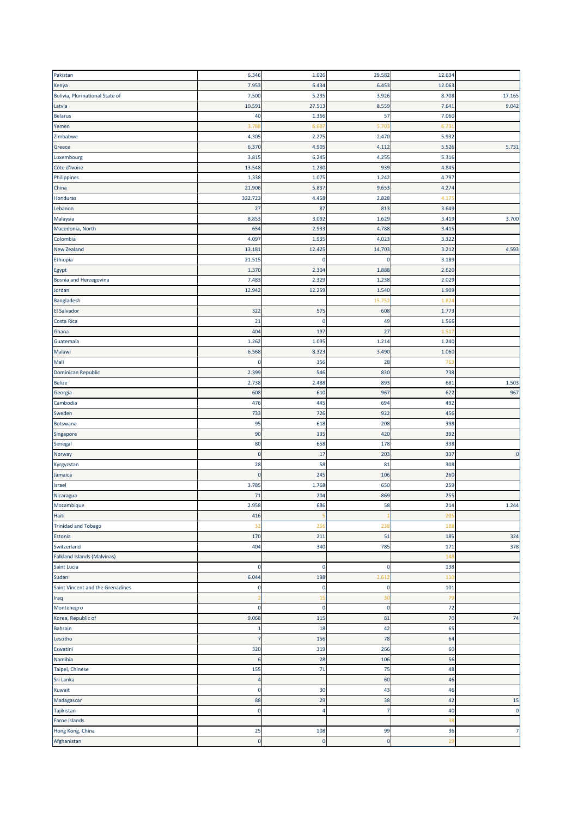| Pakistan                         | 6.346       | 1.026       | 29.582         | 12.634         |                |
|----------------------------------|-------------|-------------|----------------|----------------|----------------|
| Kenya                            | 7.953       | 6.434       | 6.453          | 12.063         |                |
| Bolivia, Plurinational State of  | 7.500       | 5.235       | 3.926          | 8.708          | 17.165         |
| Latvia                           | 10.591      | 27.513      | 8.559          | 7.641          | 9.042          |
| <b>Belarus</b>                   | 40          | 1.366       | 57             | 7.060          |                |
| Yemen                            | 3.788       | 6.607       | 5.703          | 6.73           |                |
| Zimbabwe                         | 4.305       | 2.275       | 2.470          | 5.932          |                |
|                                  |             |             |                |                |                |
| Greece                           | 6.370       | 4.905       | 4.112          | 5.526          | 5.731          |
| Luxembourg                       | 3.815       | 6.245       | 4.255          | 5.316          |                |
| Côte d'Ivoire                    | 13.548      | 1.280       | 939            | 4.845          |                |
| Philippines                      | 1.338       | 1.075       | 1.242          | 4.797          |                |
| China                            | 21.906      | 5.837       | 9.653          | 4.274          |                |
| Honduras                         | 322.723     | 4.458       | 2.828          | 4.17           |                |
| Lebanon                          | 27          | 87          | 813            | 3.649          |                |
| Malaysia                         | 8.853       | 3.092       | 1.629          | 3.419          | 3.700          |
| Macedonia, North                 | 654         | 2.933       | 4.788          | 3.415          |                |
| Colombia                         | 4.097       | 1.935       | 4.023          | 3.322          |                |
| New Zealand                      | 13.181      | 12.425      | 14.703         | 3.212          | 4.593          |
| Ethiopia                         | 21.515      | $\mathbf 0$ | 0              | 3.189          |                |
| Egypt                            | 1.370       | 2.304       | 1.888          | 2.620          |                |
| <b>Bosnia and Herzegovina</b>    | 7.483       | 2.329       | 1.238          | 2.029          |                |
| Jordan                           | 12.942      | 12.259      | 1.540          | 1.909          |                |
| Bangladesh                       |             |             | 15.752         | 1.82           |                |
| El Salvador                      | 322         | 575         | 608            | 1.773          |                |
| Costa Rica                       | 21          | $\mathbf 0$ | 49             | 1.566          |                |
|                                  |             |             |                |                |                |
| Ghana                            | 404         | 197         | 27             | 1.517          |                |
| Guatemala                        | 1.262       | 1.095       | 1.214          | 1.240          |                |
| Malawi                           | 6.568       | 8.323       | 3.490          | 1.060          |                |
| Mali                             | 0           | 156         | 28             | 763            |                |
| Dominican Republic               | 2.399       | 546         | 830            | 738            |                |
| <b>Belize</b>                    | 2.738       | 2.488       | 893            | 681            | 1.503          |
| Georgia                          | 608         | 610         | 967            | 622            | 967            |
| Cambodia                         | 476         | 445         | 694            | 492            |                |
| Sweden                           | 733         | 726         | 922            | 456            |                |
| Botswana                         | 95          | 618         | 208            | 398            |                |
| Singapore                        | 90          | 135         | 420            | 392            |                |
| Senegal                          | 80          | 658         | 178            | 338            |                |
| Norway                           | $\mathbf 0$ | 17          | 203            | 337            | $\pmb{0}$      |
| Kyrgyzstan                       | 28          | 58          | 81             | 308            |                |
| Jamaica                          | $\mathbf 0$ | 245         | 106            | 260            |                |
|                                  |             |             | 650            |                |                |
| Israel                           | 3.785       | 1.768       |                | 259            |                |
| Nicaragua                        | 71          | 204         | 869            | 255            |                |
| Mozambique                       | 2.958       | 686         | 58             | 214            | 1.244          |
| Haiti                            | 416         |             | 1              | 205            |                |
| <b>Trinidad and Tobago</b>       | 32          | 256         | 238            | 188            |                |
| Estonia                          | 170         | 211         | 51             | 185            | 324            |
| Switzerland                      | 404         | 340         | 785            | 171            | 378            |
| Falkland Islands (Malvinas)      |             |             |                | 148            |                |
| Saint Lucia                      | 0           | $\mathbf 0$ | 0              | 138            |                |
| Sudan                            | 6.044       | 198         | 2.612          | 110            |                |
| Saint Vincent and the Grenadines | $\mathbf 0$ | $\mathbf 0$ | $\pmb{0}$      | 101            |                |
| Iraq                             |             | 15          | 30             | 79             |                |
| Montenegro                       | $\mathbf 0$ | $\mathbf 0$ | $\pmb{0}$      | 72             |                |
| Korea, Republic of               | 9.068       | 115         | 81             | 70             | 74             |
| Bahrain                          | -1          | 18          | 42             | 65             |                |
| Lesotho                          | 7           | 156         | 78             | 64             |                |
| Eswatini                         | 320         | 319         | 266            | 60             |                |
| Namibia                          |             | 28          | 106            | 56             |                |
|                                  | 6           |             |                |                |                |
| Taipei, Chinese                  | 155         | 71          | 75             | 48             |                |
| Sri Lanka                        | 4           |             | 60             | 46             |                |
| Kuwait                           | 0           | 30          | 43             | 46             |                |
| Madagascar                       | 88          | 29          | 38             | 42             | 15             |
| Tajikistan                       | 0           | 4           | $\overline{7}$ | 40             | $\pmb{0}$      |
| <b>Faroe Islands</b>             |             |             |                | 38             |                |
| Hong Kong, China                 | 25          | 108         | 99             | 36             | $\overline{7}$ |
| Afghanistan                      | $\pmb{0}$   | $\pmb{0}$   | $\pmb{0}$      | 2 <sup>c</sup> |                |